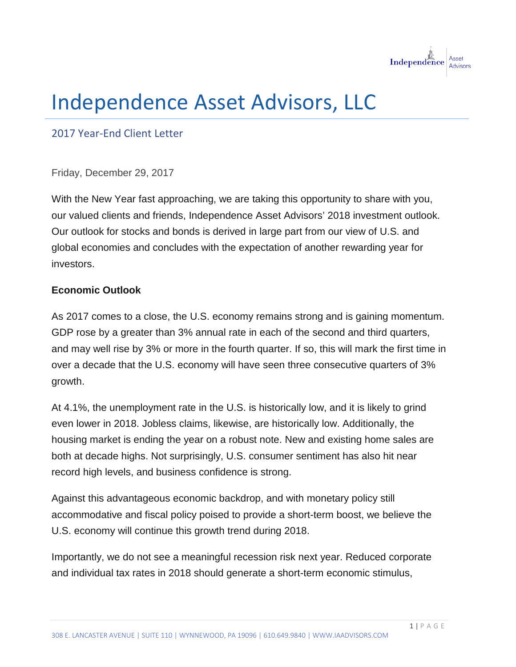

# Independence Asset Advisors, LLC

2017 Year-End Client Letter

Friday, December 29, 2017

With the New Year fast approaching, we are taking this opportunity to share with you, our valued clients and friends, Independence Asset Advisors' 2018 investment outlook. Our outlook for stocks and bonds is derived in large part from our view of U.S. and global economies and concludes with the expectation of another rewarding year for investors.

## **Economic Outlook**

As 2017 comes to a close, the U.S. economy remains strong and is gaining momentum. GDP rose by a greater than 3% annual rate in each of the second and third quarters, and may well rise by 3% or more in the fourth quarter. If so, this will mark the first time in over a decade that the U.S. economy will have seen three consecutive quarters of 3% growth.

At 4.1%, the unemployment rate in the U.S. is historically low, and it is likely to grind even lower in 2018. Jobless claims, likewise, are historically low. Additionally, the housing market is ending the year on a robust note. New and existing home sales are both at decade highs. Not surprisingly, U.S. consumer sentiment has also hit near record high levels, and business confidence is strong.

Against this advantageous economic backdrop, and with monetary policy still accommodative and fiscal policy poised to provide a short-term boost, we believe the U.S. economy will continue this growth trend during 2018.

Importantly, we do not see a meaningful recession risk next year. Reduced corporate and individual tax rates in 2018 should generate a short-term economic stimulus,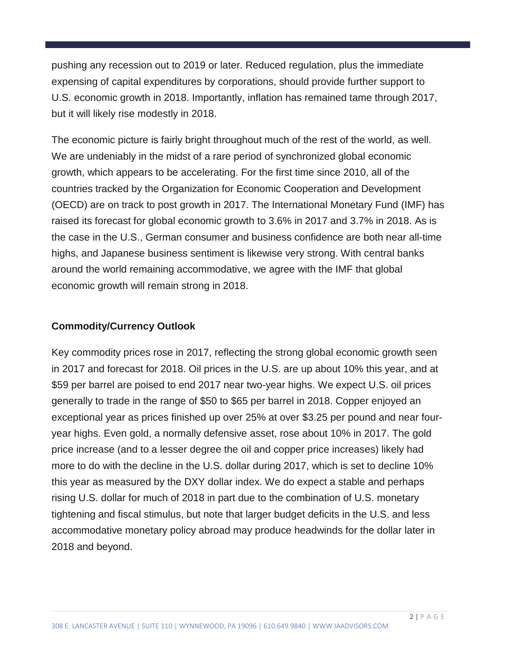pushing any recession out to 2019 or later. Reduced regulation, plus the immediate expensing of capital expenditures by corporations, should provide further support to U.S. economic growth in 2018. Importantly, inflation has remained tame through 2017, but it will likely rise modestly in 2018.

The economic picture is fairly bright throughout much of the rest of the world, as well. We are undeniably in the midst of a rare period of synchronized global economic growth, which appears to be accelerating. For the first time since 2010, all of the countries tracked by the Organization for Economic Cooperation and Development (OECD) are on track to post growth in 2017. The International Monetary Fund (IMF) has raised its forecast for global economic growth to 3.6% in 2017 and 3.7% in 2018. As is the case in the U.S., German consumer and business confidence are both near all-time highs, and Japanese business sentiment is likewise very strong. With central banks around the world remaining accommodative, we agree with the IMF that global economic growth will remain strong in 2018.

## **Commodity/Currency Outlook**

Key commodity prices rose in 2017, reflecting the strong global economic growth seen in 2017 and forecast for 2018. Oil prices in the U.S. are up about 10% this year, and at \$59 per barrel are poised to end 2017 near two-year highs. We expect U.S. oil prices generally to trade in the range of \$50 to \$65 per barrel in 2018. Copper enjoyed an exceptional year as prices finished up over 25% at over \$3.25 per pound and near fouryear highs. Even gold, a normally defensive asset, rose about 10% in 2017. The gold price increase (and to a lesser degree the oil and copper price increases) likely had more to do with the decline in the U.S. dollar during 2017, which is set to decline 10% this year as measured by the DXY dollar index. We do expect a stable and perhaps rising U.S. dollar for much of 2018 in part due to the combination of U.S. monetary tightening and fiscal stimulus, but note that larger budget deficits in the U.S. and less accommodative monetary policy abroad may produce headwinds for the dollar later in 2018 and beyond.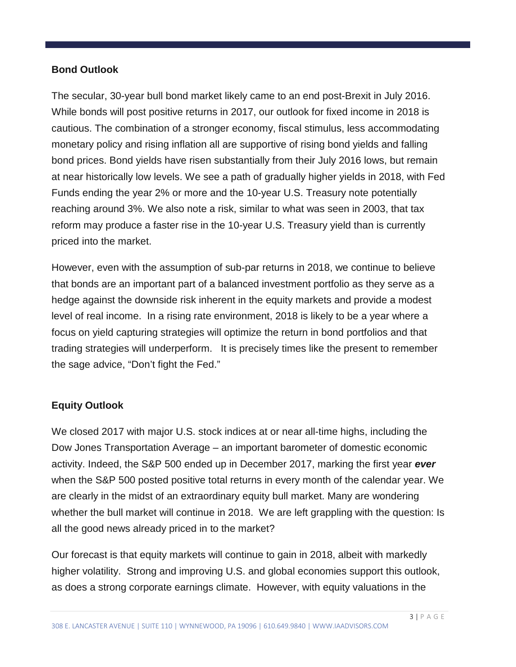## **Bond Outlook**

The secular, 30-year bull bond market likely came to an end post-Brexit in July 2016. While bonds will post positive returns in 2017, our outlook for fixed income in 2018 is cautious. The combination of a stronger economy, fiscal stimulus, less accommodating monetary policy and rising inflation all are supportive of rising bond yields and falling bond prices. Bond yields have risen substantially from their July 2016 lows, but remain at near historically low levels. We see a path of gradually higher yields in 2018, with Fed Funds ending the year 2% or more and the 10-year U.S. Treasury note potentially reaching around 3%. We also note a risk, similar to what was seen in 2003, that tax reform may produce a faster rise in the 10-year U.S. Treasury yield than is currently priced into the market.

However, even with the assumption of sub-par returns in 2018, we continue to believe that bonds are an important part of a balanced investment portfolio as they serve as a hedge against the downside risk inherent in the equity markets and provide a modest level of real income. In a rising rate environment, 2018 is likely to be a year where a focus on yield capturing strategies will optimize the return in bond portfolios and that trading strategies will underperform. It is precisely times like the present to remember the sage advice, "Don't fight the Fed."

## **Equity Outlook**

We closed 2017 with major U.S. stock indices at or near all-time highs, including the Dow Jones Transportation Average – an important barometer of domestic economic activity. Indeed, the S&P 500 ended up in December 2017, marking the first year *ever* when the S&P 500 posted positive total returns in every month of the calendar year. We are clearly in the midst of an extraordinary equity bull market. Many are wondering whether the bull market will continue in 2018. We are left grappling with the question: Is all the good news already priced in to the market?

Our forecast is that equity markets will continue to gain in 2018, albeit with markedly higher volatility. Strong and improving U.S. and global economies support this outlook, as does a strong corporate earnings climate. However, with equity valuations in the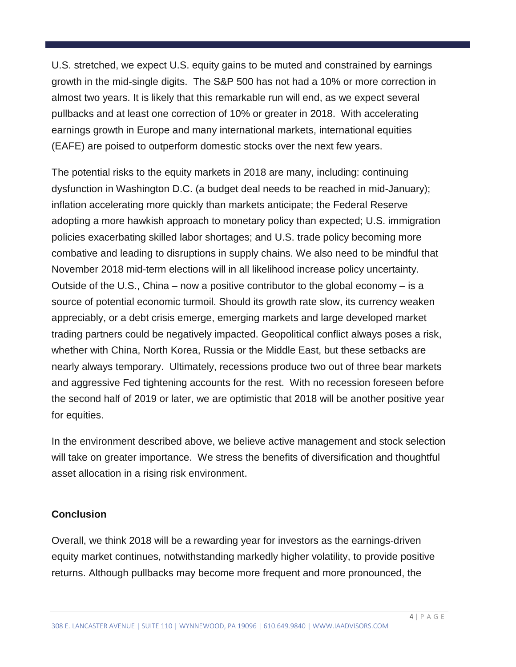U.S. stretched, we expect U.S. equity gains to be muted and constrained by earnings growth in the mid-single digits. The S&P 500 has not had a 10% or more correction in almost two years. It is likely that this remarkable run will end, as we expect several pullbacks and at least one correction of 10% or greater in 2018. With accelerating earnings growth in Europe and many international markets, international equities (EAFE) are poised to outperform domestic stocks over the next few years.

The potential risks to the equity markets in 2018 are many, including: continuing dysfunction in Washington D.C. (a budget deal needs to be reached in mid-January); inflation accelerating more quickly than markets anticipate; the Federal Reserve adopting a more hawkish approach to monetary policy than expected; U.S. immigration policies exacerbating skilled labor shortages; and U.S. trade policy becoming more combative and leading to disruptions in supply chains. We also need to be mindful that November 2018 mid-term elections will in all likelihood increase policy uncertainty. Outside of the U.S., China – now a positive contributor to the global economy – is a source of potential economic turmoil. Should its growth rate slow, its currency weaken appreciably, or a debt crisis emerge, emerging markets and large developed market trading partners could be negatively impacted. Geopolitical conflict always poses a risk, whether with China, North Korea, Russia or the Middle East, but these setbacks are nearly always temporary. Ultimately, recessions produce two out of three bear markets and aggressive Fed tightening accounts for the rest. With no recession foreseen before the second half of 2019 or later, we are optimistic that 2018 will be another positive year for equities.

In the environment described above, we believe active management and stock selection will take on greater importance. We stress the benefits of diversification and thoughtful asset allocation in a rising risk environment.

## **Conclusion**

Overall, we think 2018 will be a rewarding year for investors as the earnings-driven equity market continues, notwithstanding markedly higher volatility, to provide positive returns. Although pullbacks may become more frequent and more pronounced, the